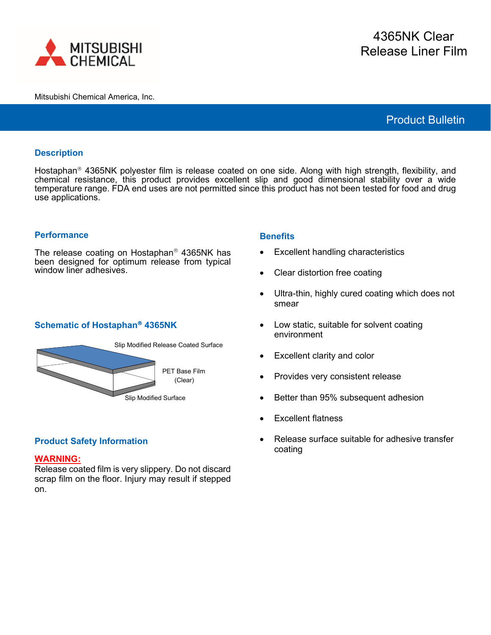

# Product Bulletin

## **Description**

Hostaphan<sup>®</sup> 4365NK polyester film is release coated on one side. Along with high strength, flexibility, and chemical resistance, this product provides excellent slip and good dimensional stability over a wide temperature range. FDA end uses are not permitted since this product has not been tested for food and drug use applications.

### **Performance**

The release coating on Hostaphan<sup>®</sup> 4365NK has been designed for optimum release from typical window liner adhesives.

### **Schematic of Hostaphan 4365NK**



# **Product Safety Information**

### **WARNING:**

Release coated film is very slippery. Do not discard scrap film on the floor. Injury may result if stepped on.

### **Benefits**

- Excellent handling characteristics
- Clear distortion free coating
- Ultra-thin, highly cured coating which does not smear
- Low static, suitable for solvent coating environment
- Excellent clarity and color
- Provides very consistent release
- Better than 95% subsequent adhesion
- **Excellent flatness**
- Release surface suitable for adhesive transfer coating